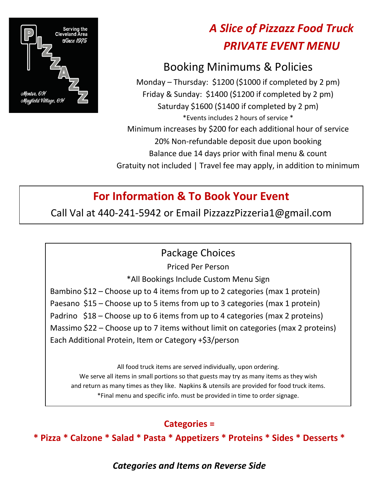

# *A Slice of Pizzazz Food Truck PRIVATE EVENT MENU*

# Booking Minimums & Policies

Monday – Thursday: \$1200 (\$1000 if completed by 2 pm) Friday & Sunday: \$1400 (\$1200 if completed by 2 pm) Saturday \$1600 (\$1400 if completed by 2 pm) \*Events includes 2 hours of service \* Minimum increases by \$200 for each additional hour of service 20% Non-refundable deposit due upon booking Balance due 14 days prior with final menu & count Gratuity not included | Travel fee may apply, in addition to minimum

## **For Information & To Book Your Event**

Call Val at 440-241-5942 or Email PizzazzPizzeria1@gmail.com

#### Package Choices

Priced Per Person

\*All Bookings Include Custom Menu Sign

Bambino \$12 – Choose up to 4 items from up to 2 categories (max 1 protein) Paesano \$15 – Choose up to 5 items from up to 3 categories (max 1 protein) Padrino \$18 – Choose up to 6 items from up to 4 categories (max 2 proteins) Massimo \$22 – Choose up to 7 items without limit on categories (max 2 proteins) Each Additional Protein, Item or Category +\$3/person

All food truck items are served individually, upon ordering. We serve all items in small portions so that guests may try as many items as they wish and return as many times as they like. Napkins & utensils are provided for food truck items. \*Final menu and specific info. must be provided in time to order signage.

#### **Categories =**

**\* Pizza \* Calzone \* Salad \* Pasta \* Appetizers \* Proteins \* Sides \* Desserts \***

*Categories and Items on Reverse Side*